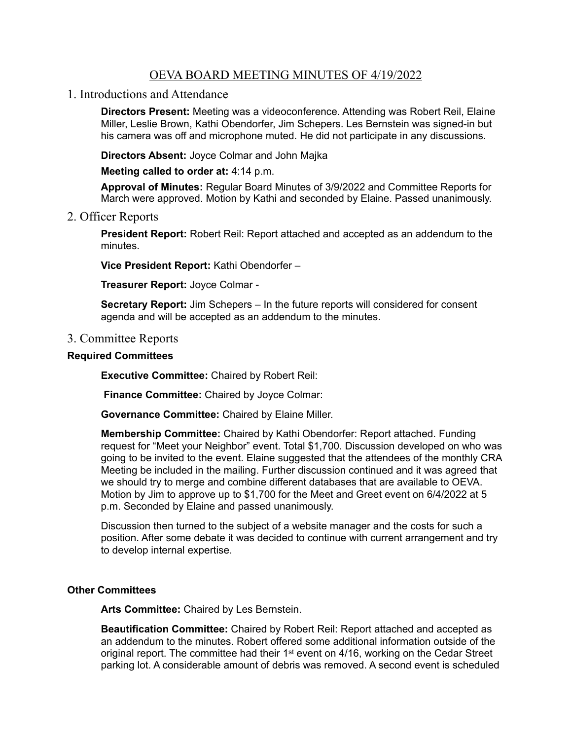## OEVA BOARD MEETING MINUTES OF 4/19/2022

1. Introductions and Attendance

**Directors Present:** Meeting was a videoconference. Attending was Robert Reil, Elaine Miller, Leslie Brown, Kathi Obendorfer, Jim Schepers. Les Bernstein was signed-in but his camera was off and microphone muted. He did not participate in any discussions.

**Directors Absent:** Joyce Colmar and John Majka

**Meeting called to order at:** 4:14 p.m.

**Approval of Minutes:** Regular Board Minutes of 3/9/2022 and Committee Reports for March were approved. Motion by Kathi and seconded by Elaine. Passed unanimously.

2. Officer Reports

**President Report:** Robert Reil: Report attached and accepted as an addendum to the minutes.

**Vice President Report:** Kathi Obendorfer –

**Treasurer Report:** Joyce Colmar -

**Secretary Report:** Jim Schepers – In the future reports will considered for consent agenda and will be accepted as an addendum to the minutes.

## 3. Committee Reports

## **Required Committees**

**Executive Committee:** Chaired by Robert Reil:

 **Finance Committee:** Chaired by Joyce Colmar:

**Governance Committee:** Chaired by Elaine Miller.

**Membership Committee:** Chaired by Kathi Obendorfer: Report attached. Funding request for "Meet your Neighbor" event. Total \$1,700. Discussion developed on who was going to be invited to the event. Elaine suggested that the attendees of the monthly CRA Meeting be included in the mailing. Further discussion continued and it was agreed that we should try to merge and combine different databases that are available to OEVA. Motion by Jim to approve up to \$1,700 for the Meet and Greet event on 6/4/2022 at 5 p.m. Seconded by Elaine and passed unanimously.

Discussion then turned to the subject of a website manager and the costs for such a position. After some debate it was decided to continue with current arrangement and try to develop internal expertise.

## **Other Committees**

**Arts Committee:** Chaired by Les Bernstein.

**Beautification Committee:** Chaired by Robert Reil: Report attached and accepted as an addendum to the minutes. Robert offered some additional information outside of the original report. The committee had their 1st event on 4/16, working on the Cedar Street parking lot. A considerable amount of debris was removed. A second event is scheduled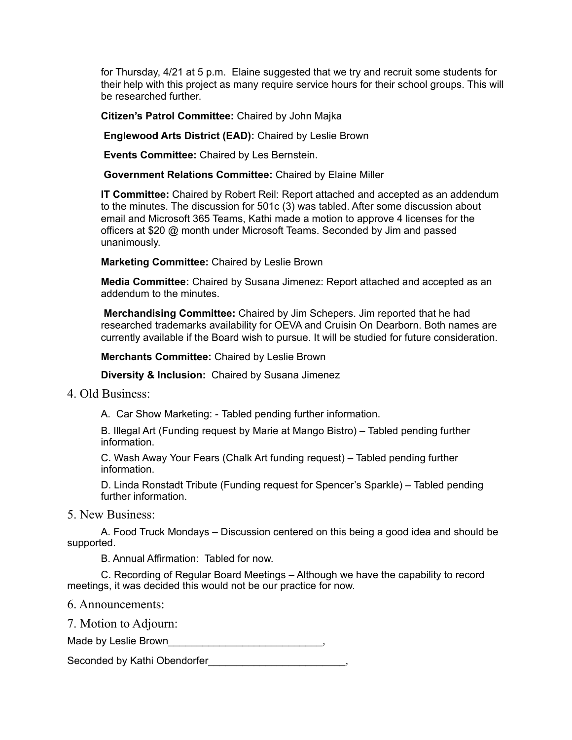for Thursday, 4/21 at 5 p.m. Elaine suggested that we try and recruit some students for their help with this project as many require service hours for their school groups. This will be researched further.

**Citizen's Patrol Committee:** Chaired by John Majka

 **Englewood Arts District (EAD):** Chaired by Leslie Brown

 **Events Committee:** Chaired by Les Bernstein.

 **Government Relations Committee:** Chaired by Elaine Miller

**IT Committee:** Chaired by Robert Reil: Report attached and accepted as an addendum to the minutes. The discussion for 501c (3) was tabled. After some discussion about email and Microsoft 365 Teams, Kathi made a motion to approve 4 licenses for the officers at \$20 @ month under Microsoft Teams. Seconded by Jim and passed unanimously.

**Marketing Committee:** Chaired by Leslie Brown

**Media Committee:** Chaired by Susana Jimenez: Report attached and accepted as an addendum to the minutes.

**Merchandising Committee:** Chaired by Jim Schepers. Jim reported that he had researched trademarks availability for OEVA and Cruisin On Dearborn. Both names are currently available if the Board wish to pursue. It will be studied for future consideration.

**Merchants Committee:** Chaired by Leslie Brown

**Diversity & Inclusion:** Chaired by Susana Jimenez

4. Old Business:

A. Car Show Marketing: - Tabled pending further information.

B. Illegal Art (Funding request by Marie at Mango Bistro) – Tabled pending further information.

C. Wash Away Your Fears (Chalk Art funding request) – Tabled pending further information.

D. Linda Ronstadt Tribute (Funding request for Spencer's Sparkle) – Tabled pending further information.

5. New Business:

A. Food Truck Mondays – Discussion centered on this being a good idea and should be supported.

B. Annual Affirmation: Tabled for now.

C. Recording of Regular Board Meetings – Although we have the capability to record meetings, it was decided this would not be our practice for now.

6. Announcements:

7. Motion to Adjourn:

Made by Leslie Brown

Seconded by Kathi Obendorfer\_\_\_\_\_\_\_\_\_\_\_\_\_\_\_\_\_\_\_\_\_\_\_,